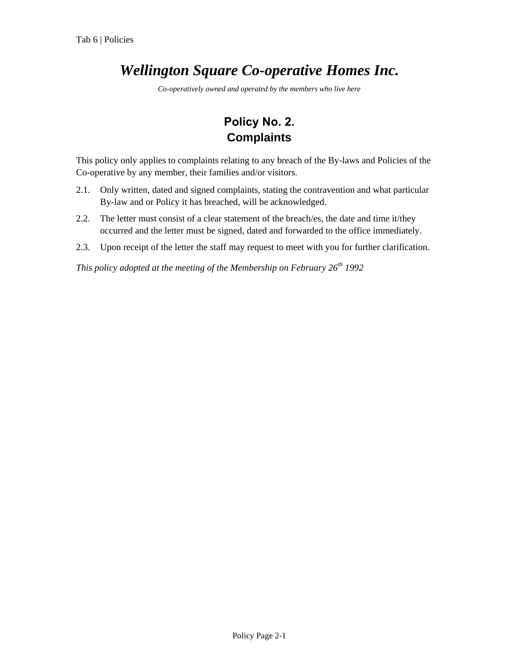## *Wellington Square Co-operative Homes Inc.*

*Co-operatively owned and operated by the members who live here*

## **Policy No. 2. Complaints**

This policy only applies to complaints relating to any breach of the By-laws and Policies of the Co-operative by any member, their families and/or visitors.

- 2.1. Only written, dated and signed complaints, stating the contravention and what particular By-law and or Policy it has breached, will be acknowledged.
- 2.2. The letter must consist of a clear statement of the breach/es, the date and time it/they occurred and the letter must be signed, dated and forwarded to the office immediately.
- 2.3. Upon receipt of the letter the staff may request to meet with you for further clarification.

*This policy adopted at the meeting of the Membership on February 26th 1992*